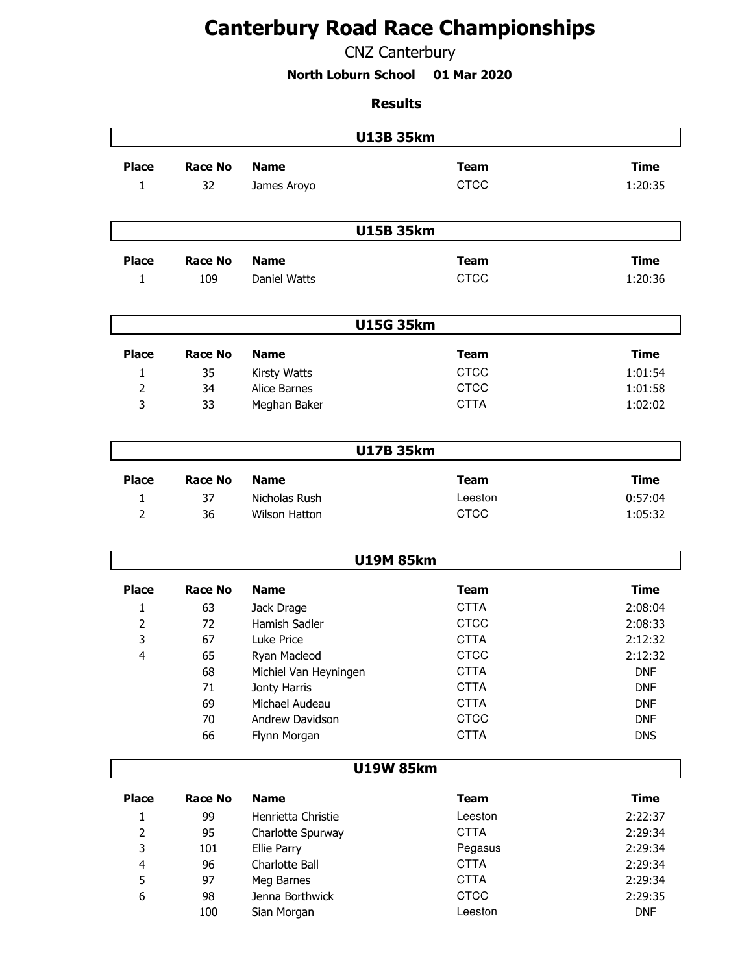## **Canterbury Road Race Championships**

## CNZ Canterbury

**North Loburn School 01 Mar 2020**

## **Results**

|                     | <b>U13B 35km</b> |                                |                            |                          |  |  |
|---------------------|------------------|--------------------------------|----------------------------|--------------------------|--|--|
| <b>Place</b>        | <b>Race No</b>   | <b>Name</b>                    | <b>Team</b>                | <b>Time</b>              |  |  |
| $\mathbf{1}$        | 32               | James Aroyo                    | <b>CTCC</b>                | 1:20:35                  |  |  |
|                     |                  |                                |                            |                          |  |  |
|                     |                  |                                |                            |                          |  |  |
|                     | <b>U15B 35km</b> |                                |                            |                          |  |  |
| <b>Place</b>        | <b>Race No</b>   | <b>Name</b>                    | <b>Team</b>                | <b>Time</b>              |  |  |
| 1                   | 109              | Daniel Watts                   | <b>CTCC</b>                | 1:20:36                  |  |  |
|                     |                  |                                |                            |                          |  |  |
|                     |                  | <b>U15G 35km</b>               |                            |                          |  |  |
| <b>Place</b>        | <b>Race No</b>   | <b>Name</b>                    | <b>Team</b>                | <b>Time</b>              |  |  |
|                     |                  |                                |                            |                          |  |  |
| 1<br>$\overline{2}$ | 35<br>34         | Kirsty Watts<br>Alice Barnes   | <b>CTCC</b><br><b>CTCC</b> | 1:01:54<br>1:01:58       |  |  |
| 3                   | 33               | Meghan Baker                   | <b>CTTA</b>                | 1:02:02                  |  |  |
|                     |                  |                                |                            |                          |  |  |
|                     |                  | <b>U17B 35km</b>               |                            |                          |  |  |
|                     |                  |                                |                            |                          |  |  |
| <b>Place</b>        | <b>Race No</b>   | <b>Name</b>                    | <b>Team</b>                | <b>Time</b>              |  |  |
| 1                   | 37               | Nicholas Rush                  | Leeston                    | 0:57:04                  |  |  |
| $\overline{2}$      | 36               | <b>Wilson Hatton</b>           | <b>CTCC</b>                | 1:05:32                  |  |  |
|                     |                  | <b>U19M 85km</b>               |                            |                          |  |  |
|                     |                  |                                |                            |                          |  |  |
| <b>Place</b>        | <b>Race No</b>   | <b>Name</b>                    | <b>Team</b>                | <b>Time</b>              |  |  |
| 1                   | 63               | Jack Drage                     | <b>CTTA</b>                | 2:08:04                  |  |  |
| $\overline{2}$      | 72               | Hamish Sadler                  | <b>CTCC</b>                | 2:08:33                  |  |  |
| 3                   | 67               | Luke Price                     | <b>CTTA</b>                | 2:12:32                  |  |  |
| 4                   | 65               | Ryan Macleod                   | <b>CTCC</b>                | 2:12:32                  |  |  |
|                     | 68               | Michiel Van Heyningen          | <b>CTTA</b>                | <b>DNF</b>               |  |  |
|                     | 71<br>69         | Jonty Harris<br>Michael Audeau | <b>CTTA</b><br><b>CTTA</b> | <b>DNF</b><br><b>DNF</b> |  |  |
|                     | 70               | Andrew Davidson                | <b>CTCC</b>                | <b>DNF</b>               |  |  |
|                     | 66               | Flynn Morgan                   | <b>CTTA</b>                | <b>DNS</b>               |  |  |
|                     |                  |                                |                            |                          |  |  |
|                     |                  | <b>U19W 85km</b>               |                            |                          |  |  |
| <b>Place</b>        | <b>Race No</b>   | <b>Name</b>                    | <b>Team</b>                | <b>Time</b>              |  |  |
| 1                   | 99               | Henrietta Christie             | Leeston                    | 2:22:37                  |  |  |
| $\overline{2}$      | 95               | Charlotte Spurway              | <b>CTTA</b>                | 2:29:34                  |  |  |
| 3                   | 101              | Ellie Parry                    | Pegasus                    | 2:29:34                  |  |  |
| 4                   | 96               | Charlotte Ball                 | <b>CTTA</b>                | 2:29:34                  |  |  |
| 5                   | 97               | Meg Barnes                     | <b>CTTA</b>                | 2:29:34                  |  |  |
| 6                   | 98               | Jenna Borthwick                | <b>CTCC</b>                | 2:29:35                  |  |  |
|                     | 100              | Sian Morgan                    | Leeston                    | <b>DNF</b>               |  |  |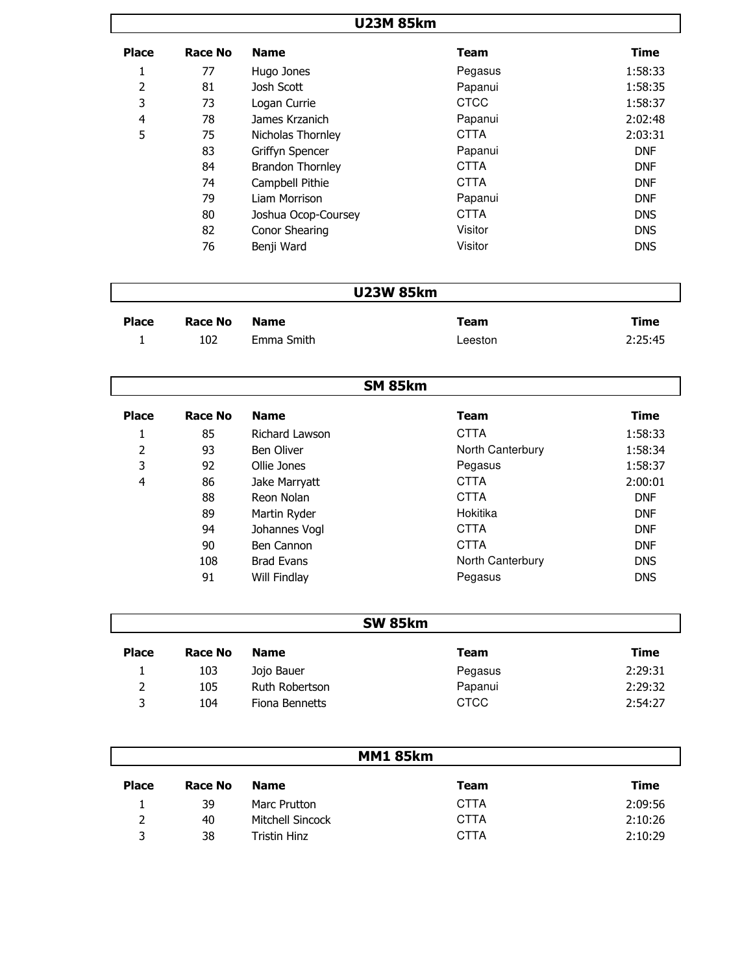## **U23M 85km**

| <b>Place</b> | Race No | <b>Name</b>             | Team        | <b>Time</b> |
|--------------|---------|-------------------------|-------------|-------------|
| 1            | 77      | Hugo Jones              | Pegasus     | 1:58:33     |
| 2            | 81      | Josh Scott              | Papanui     | 1:58:35     |
| 3            | 73      | Logan Currie            | <b>CTCC</b> | 1:58:37     |
| 4            | 78      | James Krzanich          | Papanui     | 2:02:48     |
| 5            | 75      | Nicholas Thornley       | <b>CTTA</b> | 2:03:31     |
|              | 83      | Griffyn Spencer         | Papanui     | <b>DNF</b>  |
|              | 84      | <b>Brandon Thornley</b> | <b>CTTA</b> | <b>DNF</b>  |
|              | 74      | Campbell Pithie         | <b>CTTA</b> | <b>DNF</b>  |
|              | 79      | Liam Morrison           | Papanui     | <b>DNF</b>  |
|              | 80      | Joshua Ocop-Coursey     | <b>CTTA</b> | <b>DNS</b>  |
|              | 82      | Conor Shearing          | Visitor     | <b>DNS</b>  |
|              | 76      | Benji Ward              | Visitor     | <b>DNS</b>  |

| <b>U23W 85km</b> |
|------------------|
|------------------|

| <b>Place</b> | Race No | Name       | Team    | Time    |
|--------------|---------|------------|---------|---------|
|              | 102     | Emma Smith | Leeston | 2:25:45 |

|              |         |                   | <b>SM 85km</b>   |            |
|--------------|---------|-------------------|------------------|------------|
| <b>Place</b> | Race No | <b>Name</b>       | <b>Team</b>      | Time       |
| T            | 85      | Richard Lawson    | <b>CTTA</b>      | 1:58:33    |
| 2            | 93      | <b>Ben Oliver</b> | North Canterbury | 1:58:34    |
| 3            | 92      | Ollie Jones       | Pegasus          | 1:58:37    |
| 4            | 86      | Jake Marryatt     | <b>CTTA</b>      | 2:00:01    |
|              | 88      | Reon Nolan        | <b>CTTA</b>      | <b>DNF</b> |
|              | 89      | Martin Ryder      | Hokitika         | <b>DNF</b> |
|              | 94      | Johannes Vogl     | <b>CTTA</b>      | <b>DNF</b> |
|              | 90      | Ben Cannon        | <b>CTTA</b>      | <b>DNF</b> |
|              | 108     | <b>Brad Evans</b> | North Canterbury | <b>DNS</b> |
|              | 91      | Will Findlay      | Pegasus          | <b>DNS</b> |

|              |         |                | <b>SW 85km</b> |         |
|--------------|---------|----------------|----------------|---------|
| <b>Place</b> | Race No | <b>Name</b>    | <b>Team</b>    | Time    |
|              | 103     | Jojo Bauer     | Pegasus        | 2:29:31 |
| 2            | 105     | Ruth Robertson | Papanui        | 2:29:32 |
| ર            | 104     | Fiona Bennetts | <b>CTCC</b>    | 2:54:27 |

| <b>MM1 85km</b> |         |                  |             |         |
|-----------------|---------|------------------|-------------|---------|
| <b>Place</b>    | Race No | <b>Name</b>      | <b>Team</b> | Time    |
|                 | 39      | Marc Prutton     | <b>CTTA</b> | 2:09:56 |
| 2               | 40      | Mitchell Sincock | <b>CTTA</b> | 2:10:26 |
| ર               | 38      | Tristin Hinz     | <b>CTTA</b> | 2:10:29 |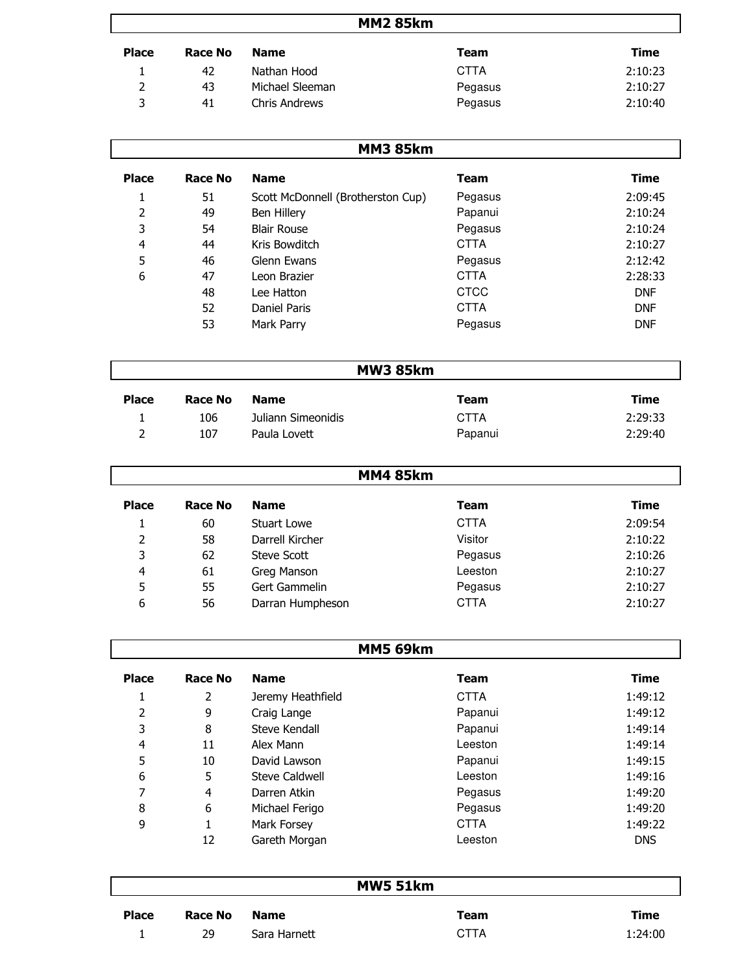| <b>MM2 85km</b> |         |                 |             |         |
|-----------------|---------|-----------------|-------------|---------|
| <b>Place</b>    | Race No | <b>Name</b>     | Team        | Time    |
|                 | 42      | Nathan Hood     | <b>CTTA</b> | 2:10:23 |
| 2               | 43      | Michael Sleeman | Pegasus     | 2:10:27 |
| 3               | 41      | Chris Andrews   | Pegasus     | 2:10:40 |

| <b>MM3 85km</b> |         |                                   |             |            |  |
|-----------------|---------|-----------------------------------|-------------|------------|--|
| <b>Place</b>    | Race No | <b>Name</b>                       | Team        | Time       |  |
| 1               | 51      | Scott McDonnell (Brotherston Cup) | Pegasus     | 2:09:45    |  |
| 2               | 49      | Ben Hillery                       | Papanui     | 2:10:24    |  |
| 3               | 54      | <b>Blair Rouse</b>                | Pegasus     | 2:10:24    |  |
| 4               | 44      | Kris Bowditch                     | <b>CTTA</b> | 2:10:27    |  |
| 5               | 46      | Glenn Ewans                       | Pegasus     | 2:12:42    |  |
| 6               | 47      | Leon Brazier                      | <b>CTTA</b> | 2:28:33    |  |
|                 | 48      | Lee Hatton                        | <b>CTCC</b> | <b>DNF</b> |  |
|                 | 52      | Daniel Paris                      | <b>CTTA</b> | <b>DNF</b> |  |
|                 | 53      | Mark Parry                        | Pegasus     | <b>DNF</b> |  |

| <b>MW3 85km</b> |         |                    |             |         |
|-----------------|---------|--------------------|-------------|---------|
| <b>Place</b>    | Race No | <b>Name</b>        | Team        | Time    |
|                 | 106     | Juliann Simeonidis | <b>CTTA</b> | 2:29:33 |
|                 | 107     | Paula Lovett       | Papanui     | 2:29:40 |

|              | <b>MM4 85km</b> |                    |             |         |  |
|--------------|-----------------|--------------------|-------------|---------|--|
| <b>Place</b> | Race No         | <b>Name</b>        | <b>Team</b> | Time    |  |
|              | 60              | Stuart Lowe        | <b>CTTA</b> | 2:09:54 |  |
| 2            | 58              | Darrell Kircher    | Visitor     | 2:10:22 |  |
| 3            | 62              | <b>Steve Scott</b> | Pegasus     | 2:10:26 |  |
| 4            | 61              | Greg Manson        | Leeston     | 2:10:27 |  |
| 5            | 55              | Gert Gammelin      | Pegasus     | 2:10:27 |  |
| 6            | 56              | Darran Humpheson   | <b>CTTA</b> | 2:10:27 |  |

|              | <b>MM5 69km</b> |                       |             |             |  |
|--------------|-----------------|-----------------------|-------------|-------------|--|
| <b>Place</b> | Race No         | <b>Name</b>           | <b>Team</b> | <b>Time</b> |  |
|              | 2               | Jeremy Heathfield     | <b>CTTA</b> | 1:49:12     |  |
| 2            | 9               | Craig Lange           | Papanui     | 1:49:12     |  |
| 3            | 8               | Steve Kendall         | Papanui     | 1:49:14     |  |
| 4            | 11              | Alex Mann             | Leeston     | 1:49:14     |  |
| 5            | 10              | David Lawson          | Papanui     | 1:49:15     |  |
| 6            | 5               | <b>Steve Caldwell</b> | Leeston     | 1:49:16     |  |
| 7            | 4               | Darren Atkin          | Pegasus     | 1:49:20     |  |
| 8            | 6               | Michael Ferigo        | Pegasus     | 1:49:20     |  |
| 9            |                 | Mark Forsey           | <b>CTTA</b> | 1:49:22     |  |
|              | 12              | Gareth Morgan         | Leeston     | <b>DNS</b>  |  |

| <b>MW5 51km</b> |         |              |      |         |  |  |  |
|-----------------|---------|--------------|------|---------|--|--|--|
| <b>Place</b>    | Race No | <b>Name</b>  | Team | Time    |  |  |  |
|                 | 29      | Sara Harnett | CTTA | 1:24:00 |  |  |  |